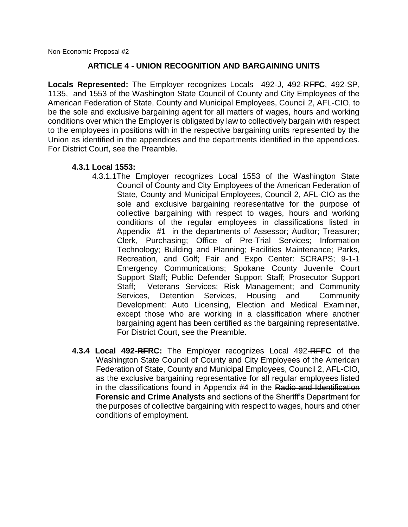Non-Economic Proposal #2

#### **ARTICLE 4 - UNION RECOGNITION AND BARGAINING UNITS**

**Locals Represented:** The Employer recognizes Locals 492-J, 492-RF**FC**, 492-SP, 1135, and 1553 of the Washington State Council of County and City Employees of the American Federation of State, County and Municipal Employees, Council 2, AFL-CIO, to be the sole and exclusive bargaining agent for all matters of wages, hours and working conditions over which the Employer is obligated by law to collectively bargain with respect to the employees in positions with in the respective bargaining units represented by the Union as identified in the appendices and the departments identified in the appendices. For District Court, see the Preamble.

#### **4.3.1 Local 1553:**

- 4.3.1.1The Employer recognizes Local 1553 of the Washington State Council of County and City Employees of the American Federation of State, County and Municipal Employees, Council 2, AFL-CIO as the sole and exclusive bargaining representative for the purpose of collective bargaining with respect to wages, hours and working conditions of the regular employees in classifications listed in Appendix #1 in the departments of Assessor; Auditor; Treasurer; Clerk, Purchasing; Office of Pre-Trial Services; Information Technology; Building and Planning; Facilities Maintenance; Parks, Recreation, and Golf; Fair and Expo Center: SCRAPS; 9-1-1 Emergency Communications; Spokane County Juvenile Court Support Staff; Public Defender Support Staff; Prosecutor Support Staff; Veterans Services; Risk Management; and Community Services, Detention Services, Housing and Community Development: Auto Licensing, Election and Medical Examiner, except those who are working in a classification where another bargaining agent has been certified as the bargaining representative. For District Court, see the Preamble.
- **4.3.4 Local 492-RFRC:** The Employer recognizes Local 492-RF**FC** of the Washington State Council of County and City Employees of the American Federation of State, County and Municipal Employees, Council 2, AFL-CIO, as the exclusive bargaining representative for all regular employees listed in the classifications found in Appendix #4 in the Radio and Identification **Forensic and Crime Analysts** and sections of the Sheriff's Department for the purposes of collective bargaining with respect to wages, hours and other conditions of employment.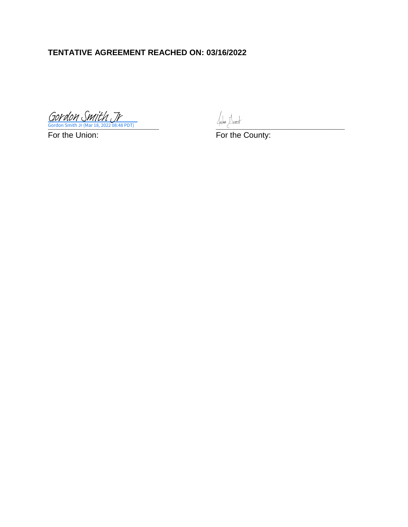# **TENTATIVE AGREEMENT REACHED ON: 03/16/2022**

**Cordon Smith Jr (Mar 18, 2022 08:48 PDT)** Gordon Smith Jr (Mar 18, 2022 08:48 PDT) [Gordon Smith Jr](https://na4.documents.adobe.com/verifier?tx=CBJCHBCAABAAWX9nrX3R-sMgcTJKw99ZlP2ExVfUzC7m)

For the Union: The County: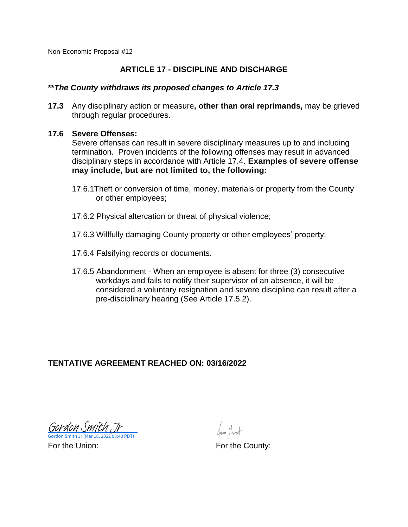Non-Economic Proposal #12

### **ARTICLE 17 - DISCIPLINE AND DISCHARGE**

#### **\*\****The County withdraws its proposed changes to Article 17.3*

**17.3** Any disciplinary action or measure**, other than oral reprimands,** may be grieved through regular procedures.

#### **17.6 Severe Offenses:**

Severe offenses can result in severe disciplinary measures up to and including termination. Proven incidents of the following offenses may result in advanced disciplinary steps in accordance with Article 17.4. **Examples of severe offense may include, but are not limited to, the following:**

- 17.6.1Theft or conversion of time, money, materials or property from the County or other employees;
- 17.6.2 Physical altercation or threat of physical violence;
- 17.6.3 Willfully damaging County property or other employees' property;
- 17.6.4 Falsifying records or documents.
- 17.6.5 Abandonment When an employee is absent for three (3) consecutive workdays and fails to notify their supervisor of an absence, it will be considered a voluntary resignation and severe discipline can result after a pre-disciplinary hearing (See Article 17.5.2).

## **TENTATIVE AGREEMENT REACHED ON: 03/16/2022**

**Cordon Smith Jr (Mar 18, 2022 08:48 PDT)** Gordon Smith Jr (Mar 18, 2022 08:48 PDT) [Gordon Smith Jr](https://na4.documents.adobe.com/verifier?tx=CBJCHBCAABAAWX9nrX3R-sMgcTJKw99ZlP2ExVfUzC7m)

For the Union: For the County: